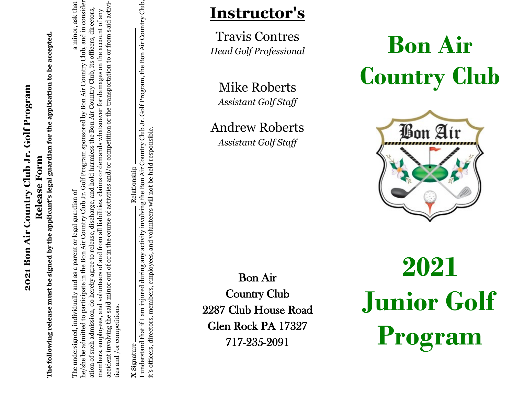# 2021 Bon Air Country Club Jr. Golf Program **2021 Bon Air Country Club Jr. Golf Program**

**Release Form**<br>The following release must be signed by the applicant's legal guardian for the application to be accepted. **The following release must be signed by the applicant's legal guardian for the application to be accepted.**

he/she be admitted to participate in the Bon Air Country Club Jr. Golf Program sponsored by Bon Air Country Club, and in consider-The undersigned, individually and as a parent or legal guardian of a minor, ask that ne/she be admitted to participate in the Bon Air Country Club Jr. Golf Program sponsored by Bon Air Country Club, and in consider a minor, ask that accident involving the said minor out of or in the course of activities and/or competition or the transportation to or from said activiaccident involving the said minor out of or in the course of activities and/or competition or the transportation to or from said activiation of such admission, do hereby agree to release, discharge, and hold harmless the Bon Air Country Club, its officers, directors, ation of such admission, do hereby agree to release, discharge, and hold harmless the Bon Air Country Club, its officers, directors, members, employees, and volunteers of and from all liabilities, claims or demands whatsoever for damages on the account of any members, employees, and volunteers of and from all liabilities, claims or demands whatsoever for damages on the account of any The undersigned, individually and as a parent or legal guardian of ries and /or competitions. ties and /or competitions.

**X**

Relationship

I understand that if I am injured during any activity involving the Bon Air Country Club Jr. Golf Program, the Bon Air Country Club, I understand that if I am injured during any activity involving the Bon Air Country Club Jr. Golf Program, the Bon Air Country Club, it's officers, directors, members, employees, and volunteers will not be held responsible.it's officers, directors, members, employees, and volunteers will not be held responsible. Signature Relationship

### **Instructor's**

Travis Contres *Head Golf Professional*

Mike Roberts *Assistant Golf Staff*

Andrew Roberts *Assistant Golf Staff*

Bon Air Country Club 2287 Club House Road Glen Rock PA 17327 717 -235 -2091

## **Bon Air Country Club**



**2021 Junior Golf Program**